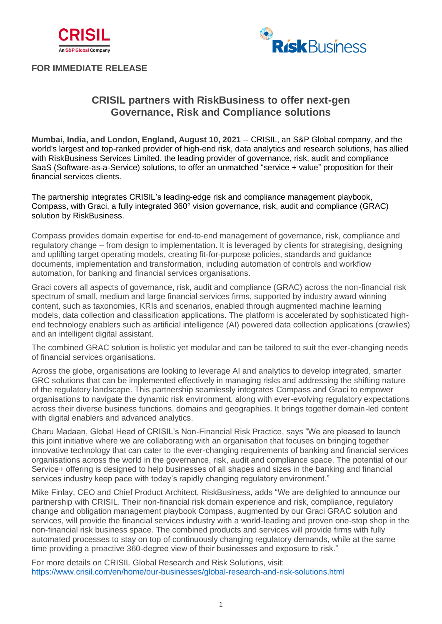



## **FOR IMMEDIATE RELEASE**

# **CRISIL partners with RiskBusiness to offer next-gen Governance, Risk and Compliance solutions**

**Mumbai, India, and London, England, August 10, 2021** -- CRISIL, an S&P Global company, and the world's largest and top-ranked provider of high-end risk, data analytics and research solutions, has allied with RiskBusiness Services Limited, the leading provider of governance, risk, audit and compliance SaaS (Software-as-a-Service) solutions, to offer an unmatched "service + value" proposition for their financial services clients.

The partnership integrates CRISIL's leading-edge risk and compliance management playbook, Compass, with Graci, a fully integrated 360° vision governance, risk, audit and compliance (GRAC) solution by RiskBusiness.

Compass provides domain expertise for end-to-end management of governance, risk, compliance and regulatory change – from design to implementation. It is leveraged by clients for strategising, designing and uplifting target operating models, creating fit-for-purpose policies, standards and guidance documents, implementation and transformation, including automation of controls and workflow automation, for banking and financial services organisations.

Graci covers all aspects of governance, risk, audit and compliance (GRAC) across the non-financial risk spectrum of small, medium and large financial services firms, supported by industry award winning content, such as taxonomies, KRIs and scenarios, enabled through augmented machine learning models, data collection and classification applications. The platform is accelerated by sophisticated highend technology enablers such as artificial intelligence (AI) powered data collection applications (crawlies) and an intelligent digital assistant.

The combined GRAC solution is holistic yet modular and can be tailored to suit the ever-changing needs of financial services organisations.

Across the globe, organisations are looking to leverage AI and analytics to develop integrated, smarter GRC solutions that can be implemented effectively in managing risks and addressing the shifting nature of the regulatory landscape. This partnership seamlessly integrates Compass and Graci to empower organisations to navigate the dynamic risk environment, along with ever-evolving regulatory expectations across their diverse business functions, domains and geographies. It brings together domain-led content with digital enablers and advanced analytics.

Charu Madaan, Global Head of CRISIL's Non-Financial Risk Practice, says "We are pleased to launch this joint initiative where we are collaborating with an organisation that focuses on bringing together innovative technology that can cater to the ever-changing requirements of banking and financial services organisations across the world in the governance, risk, audit and compliance space. The potential of our Service+ offering is designed to help businesses of all shapes and sizes in the banking and financial services industry keep pace with today's rapidly changing regulatory environment."

Mike Finlay, CEO and Chief Product Architect, RiskBusiness, adds "We are delighted to announce our partnership with CRISIL. Their non-financial risk domain experience and risk, compliance, regulatory change and obligation management playbook Compass, augmented by our Graci GRAC solution and services, will provide the financial services industry with a world-leading and proven one-stop shop in the non-financial risk business space. The combined products and services will provide firms with fully automated processes to stay on top of continuously changing regulatory demands, while at the same time providing a proactive 360-degree view of their businesses and exposure to risk."

For more details on CRISIL Global Research and Risk Solutions, visit: <https://www.crisil.com/en/home/our-businesses/global-research-and-risk-solutions.html>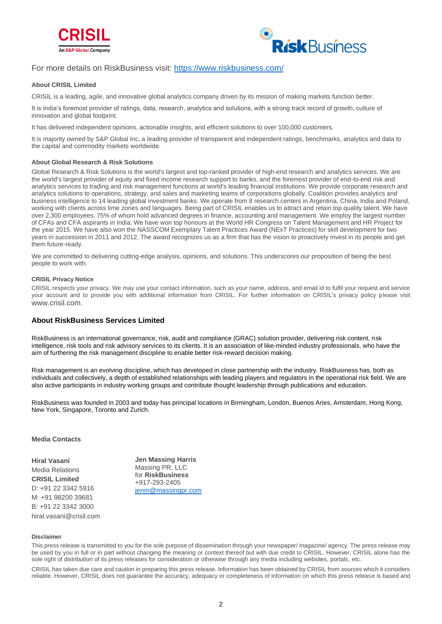



## For more details on RiskBusiness visit:<https://www.riskbusiness.com/>

#### **About CRISIL Limited**

CRISIL is a leading, agile, and innovative global analytics company driven by its mission of making markets function better.

It is India's foremost provider of ratings, data, research, analytics and solutions, with a strong track record of growth, culture of innovation and global footprint.

It has delivered independent opinions, actionable insights, and efficient solutions to over 100,000 customers.

It is majority owned by S&P Global Inc, a leading provider of transparent and independent ratings, benchmarks, analytics and data to the capital and commodity markets worldwide.

#### **About Global Research & Risk Solutions**

Global Research & Risk Solutions is the world's largest and top-ranked provider of high-end research and analytics services. We are the world's largest provider of equity and fixed income research support to banks, and the foremost provider of end-to-end risk and analytics services to trading and risk management functions at world's leading financial institutions. We provide corporate research and analytics solutions to operations, strategy, and sales and marketing teams of corporations globally. Coalition provides analytics and business intelligence to 14 leading global investment banks. We operate from 8 research centers in Argentina, China, India and Poland, working with clients across time zones and languages. Being part of CRISIL enables us to attract and retain top quality talent. We have over 2,300 employees, 75% of whom hold advanced degrees in finance, accounting and management. We employ the largest number of CFAs and CFA aspirants in India. We have won top honours at the World HR Congress on Talent Management and HR Project for the year 2015. We have also won the NASSCOM Exemplary Talent Practices Award (NExT Practices) for skill development for two years in succession in 2011 and 2012. The award recognizes us as a firm that has the vision to proactively invest in its people and get them future-ready.

We are committed to delivering cutting-edge analysis, opinions, and solutions. This underscores our proposition of being the best people to work with.

#### **CRISIL Privacy Notice**

CRISIL respects your privacy. We may use your contact information, such as your name, address, and email id to fulfil your request and service your account and to provide you with additional information from CRISIL. For further information on CRISIL's privacy policy please visit [www.crisil.com](http://www.crisil.com/).

### **About RiskBusiness Services Limited**

RiskBusiness is an international governance, risk, audit and compliance (GRAC) solution provider, delivering risk content, risk intelligence, risk tools and risk advisory services to its clients. It is an association of like-minded industry professionals, who have the aim of furthering the risk management discipline to enable better risk-reward decision making.

Risk management is an evolving discipline, which has developed in close partnership with the industry. RiskBusiness has, both as individuals and collectively, a depth of established relationships with leading players and regulators in the operational risk field. We are also active participants in industry working groups and contribute thought leadership through publications and education.

RiskBusiness was founded in 2003 and today has principal locations in Birmingham, London, Buenos Aries, Amsterdam, Hong Kong, New York, Singapore, Toronto and Zurich.

#### **Media Contacts**

**Hiral Vasani**  Media Relations **CRISIL Limited**  D: +91 22 3342 5916 M: +91 98200 39681 B: +91 22 3342 3000 hiral.vasani@crisil.com

**Jen Massing Harris** Massing PR, LLC for **RiskBusiness** +917-293-2405 [jenm@massingpr.com](mailto:jenm@massingpr.com)

#### **Disclaimer**

This press release is transmitted to you for the sole purpose of dissemination through your newspaper/ magazine/ agency. The press release may be used by you in full or in part without changing the meaning or context thereof but with due credit to CRISIL. However, CRISIL alone has the sole right of distribution of its press releases for consideration or otherwise through any media including websites, portals, etc.

CRISIL has taken due care and caution in preparing this press release. Information has been obtained by CRISIL from sources which it considers reliable. However, CRISIL does not guarantee the accuracy, adequacy or completeness of information on which this press release is based and